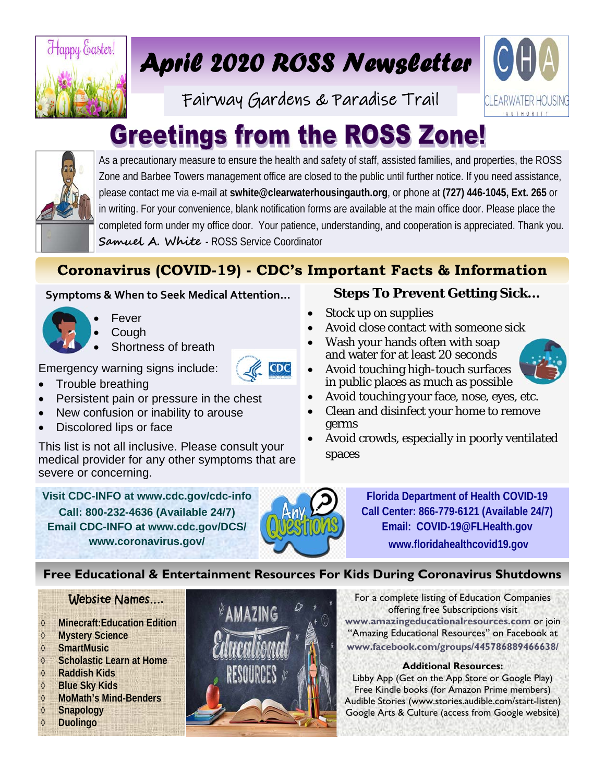

# *April 2020 ROSS Newsletter*

Fairway Gardens & Paradise Trail



# **Greetings from the ROSS Zone!**



As a precautionary measure to ensure the health and safety of staff, assisted families, and properties, the ROSS Zone and Barbee Towers management office are closed to the public until further notice. If you need assistance, please contact me via e-mail at **swhite@clearwaterhousingauth.org**, or phone at **(727) 446-1045, Ext. 265** or in writing. For your convenience, blank notification forms are available at the main office door. Please place the completed form under my office door. Your patience, understanding, and cooperation is appreciated. Thank you. **Samuel A. White** - ROSS Service Coordinator

## **Coronavirus (COVID-19) - CDC's Important Facts & Information**

### **Symptoms & When to Seek Medical Attention…**



- Fever **Cough**
- Shortness of breath

Emergency warning signs include:

- Trouble breathing
- Persistent pain or pressure in the chest
- New confusion or inability to arouse
- Discolored lips or face

This list is not all inclusive. Please consult your medical provider for any other symptoms that are severe or concerning.

**Visit CDC-INFO at www.cdc.gov/cdc-info Call: 800-232-4636 (Available 24/7) Email CDC-INFO at www.cdc.gov/DCS/ www.coronavirus.gov/** 



**Steps To Prevent Getting Sick...** 

- Stock up on supplies
- Avoid close contact with someone sick
- Wash your hands often with soap and water for at least 20 seconds



- Avoid touching high-touch surfaces in public places as much as possible
- Avoid touching your face, nose, eyes, etc.
- Clean and disinfect your home to remove germs
- Avoid crowds, especially in poorly ventilated spaces

**Florida Department of Health COVID-19 Call Center: 866-779-6121 (Available 24/7) Email: COVID-19@FLHealth.gov www.floridahealthcovid19.gov**

## **Free Educational & Entertainment Resources For Kids During Coronavirus Shutdowns**

## Website Names….

- **Minecraft:Education Edition**
- **Mystery Science**
- **SmartMusic**
- **Scholastic Learn at Home**
- **Raddish Kids**
- **Blue Sky Kids**
- **MoMath's Mind-Benders**
- **Snapology**
- **Duolingo**



For a complete listing of Education Companies offering free Subscriptions visit **www.amazingeducationalresources.com** or join "Amazing Educational Resources" on Facebook at **www.facebook.com/groups/445786889466638/** 

### **Additional Resources:**

Libby App (Get on the App Store or Google Play) Free Kindle books (for Amazon Prime members) Audible Stories (www.stories.audible.com/start-listen) Google Arts & Culture (access from Google website)